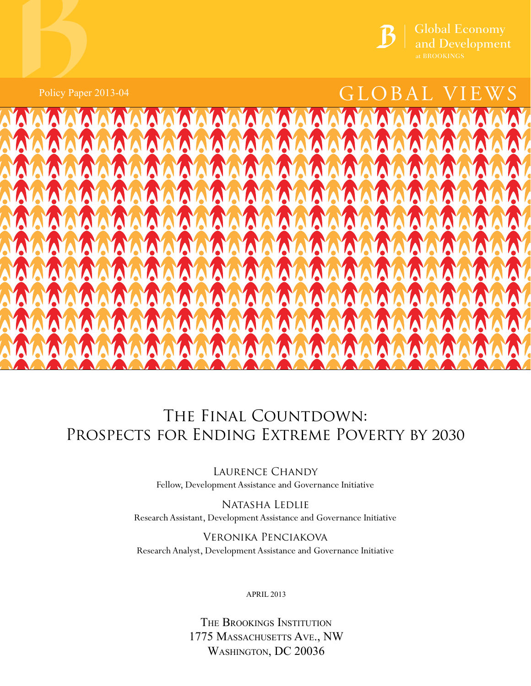

Policy Paper 2013-04

# $\mathcal{L}$  and Development<br>at BROOKINGS<br> $\mathbf{G}\mathbf{LOBAL}\mathbf{VIEWS}$  $GLOBAL$

# at BROOKS AND BROOK

# THE FINAL COUNTDOWN: Prospects for Ending Extreme Poverty by 2030

Laurence Chandy Fellow, Development Assistance and Governance Initiative

Natasha Ledlie Research Assistant, Development Assistance and Governance Initiative

Veronika Penciakova Research Analyst, Development Assistance and Governance Initiative

**APRIL 2013** 

The Brookings Institution 1775 MASSACHUSETTS AVE., NW Washington, DC 20036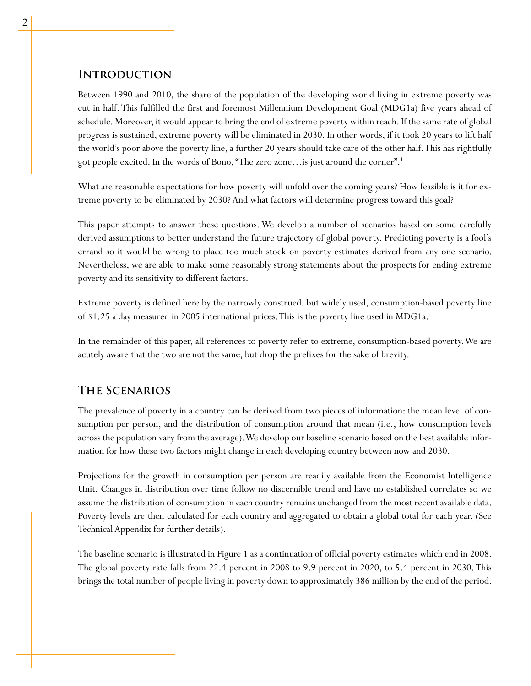# **Introduction**

Between 1990 and 2010, the share of the population of the developing world living in extreme poverty was cut in half. This fulfilled the first and foremost Millennium Development Goal (MDG1a) five years ahead of schedule. Moreover, it would appear to bring the end of extreme poverty within reach. If the same rate of global progress is sustained, extreme poverty will be eliminated in 2030. In other words, if it took 20 years to lift half the world's poor above the poverty line, a further 20 years should take care of the other half. This has rightfully got people excited. In the words of Bono, "The zero zone…is just around the corner".1

What are reasonable expectations for how poverty will unfold over the coming years? How feasible is it for extreme poverty to be eliminated by 2030? And what factors will determine progress toward this goal?

This paper attempts to answer these questions. We develop a number of scenarios based on some carefully derived assumptions to better understand the future trajectory of global poverty. Predicting poverty is a fool's errand so it would be wrong to place too much stock on poverty estimates derived from any one scenario. Nevertheless, we are able to make some reasonably strong statements about the prospects for ending extreme poverty and its sensitivity to different factors.

Extreme poverty is defined here by the narrowly construed, but widely used, consumption-based poverty line of \$1.25 a day measured in 2005 international prices. This is the poverty line used in MDG1a.

In the remainder of this paper, all references to poverty refer to extreme, consumption-based poverty. We are acutely aware that the two are not the same, but drop the prefixes for the sake of brevity.

# **The Scenarios**

The prevalence of poverty in a country can be derived from two pieces of information: the mean level of consumption per person, and the distribution of consumption around that mean (i.e., how consumption levels across the population vary from the average). We develop our baseline scenario based on the best available information for how these two factors might change in each developing country between now and 2030.

Projections for the growth in consumption per person are readily available from the Economist Intelligence Unit. Changes in distribution over time follow no discernible trend and have no established correlates so we assume the distribution of consumption in each country remains unchanged from the most recent available data. Poverty levels are then calculated for each country and aggregated to obtain a global total for each year. (See Technical Appendix for further details).

The baseline scenario is illustrated in Figure 1 as a continuation of official poverty estimates which end in 2008. The global poverty rate falls from 22.4 percent in 2008 to 9.9 percent in 2020, to 5.4 percent in 2030. This brings the total number of people living in poverty down to approximately 386 million by the end of the period.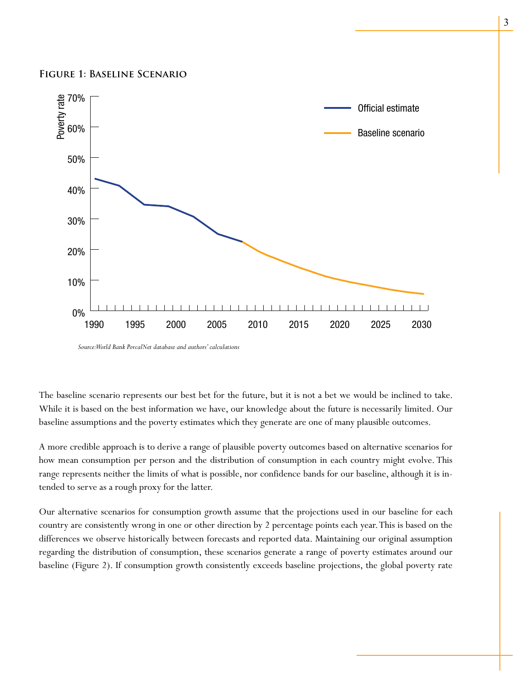#### **Figure 1: Baseline Scenario**



*Source: World Bank PovcalNet database and authors' calculations*

The baseline scenario represents our best bet for the future, but it is not a bet we would be inclined to take. While it is based on the best information we have, our knowledge about the future is necessarily limited. Our baseline assumptions and the poverty estimates which they generate are one of many plausible outcomes.

A more credible approach is to derive a range of plausible poverty outcomes based on alternative scenarios for how mean consumption per person and the distribution of consumption in each country might evolve. This range represents neither the limits of what is possible, nor confidence bands for our baseline, although it is intended to serve as a rough proxy for the latter.

Our alternative scenarios for consumption growth assume that the projections used in our baseline for each country are consistently wrong in one or other direction by 2 percentage points each year. This is based on the differences we observe historically between forecasts and reported data. Maintaining our original assumption regarding the distribution of consumption, these scenarios generate a range of poverty estimates around our baseline (Figure 2). If consumption growth consistently exceeds baseline projections, the global poverty rate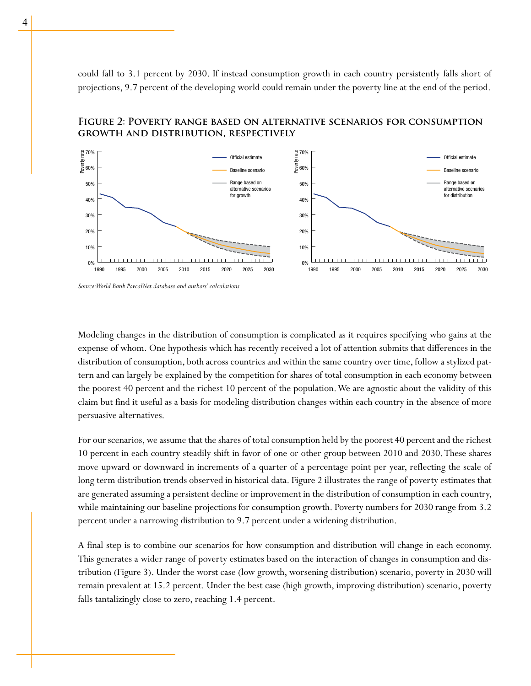could fall to 3.1 percent by 2030. If instead consumption growth in each country persistently falls short of projections, 9.7 percent of the developing world could remain under the poverty line at the end of the period.

# **Figure 2: Poverty range based on alternative scenarios for consumption growth and distribution, respectively**



*Source: World Bank PovcalNet database and authors' calculations*

Modeling changes in the distribution of consumption is complicated as it requires specifying who gains at the expense of whom. One hypothesis which has recently received a lot of attention submits that differences in the distribution of consumption, both across countries and within the same country over time, follow a stylized pattern and can largely be explained by the competition for shares of total consumption in each economy between the poorest 40 percent and the richest 10 percent of the population. We are agnostic about the validity of this claim but find it useful as a basis for modeling distribution changes within each country in the absence of more persuasive alternatives.

For our scenarios, we assume that the shares of total consumption held by the poorest 40 percent and the richest 10 percent in each country steadily shift in favor of one or other group between 2010 and 2030. These shares move upward or downward in increments of a quarter of a percentage point per year, reflecting the scale of long term distribution trends observed in historical data. Figure 2 illustrates the range of poverty estimates that are generated assuming a persistent decline or improvement in the distribution of consumption in each country, while maintaining our baseline projections for consumption growth. Poverty numbers for 2030 range from 3.2 percent under a narrowing distribution to 9.7 percent under a widening distribution.

A final step is to combine our scenarios for how consumption and distribution will change in each economy. This generates a wider range of poverty estimates based on the interaction of changes in consumption and distribution (Figure 3). Under the worst case (low growth, worsening distribution) scenario, poverty in 2030 will remain prevalent at 15.2 percent. Under the best case (high growth, improving distribution) scenario, poverty falls tantalizingly close to zero, reaching 1.4 percent.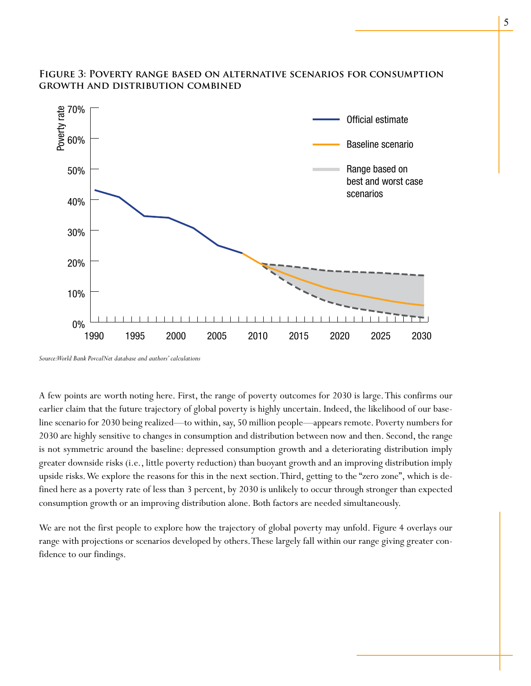# **Figure 3: Poverty range based on alternative scenarios for consumption growth and distribution combined**



*Source: World Bank PovcalNet database and authors' calculations*

A few points are worth noting here. First, the range of poverty outcomes for 2030 is large. This confirms our earlier claim that the future trajectory of global poverty is highly uncertain. Indeed, the likelihood of our baseline scenario for 2030 being realized—to within, say, 50 million people—appears remote. Poverty numbers for 2030 are highly sensitive to changes in consumption and distribution between now and then. Second, the range is not symmetric around the baseline: depressed consumption growth and a deteriorating distribution imply greater downside risks (i.e., little poverty reduction) than buoyant growth and an improving distribution imply upside risks. We explore the reasons for this in the next section. Third, getting to the "zero zone", which is defined here as a poverty rate of less than 3 percent, by 2030 is unlikely to occur through stronger than expected consumption growth or an improving distribution alone. Both factors are needed simultaneously.

We are not the first people to explore how the trajectory of global poverty may unfold. Figure 4 overlays our range with projections or scenarios developed by others. These largely fall within our range giving greater confidence to our findings.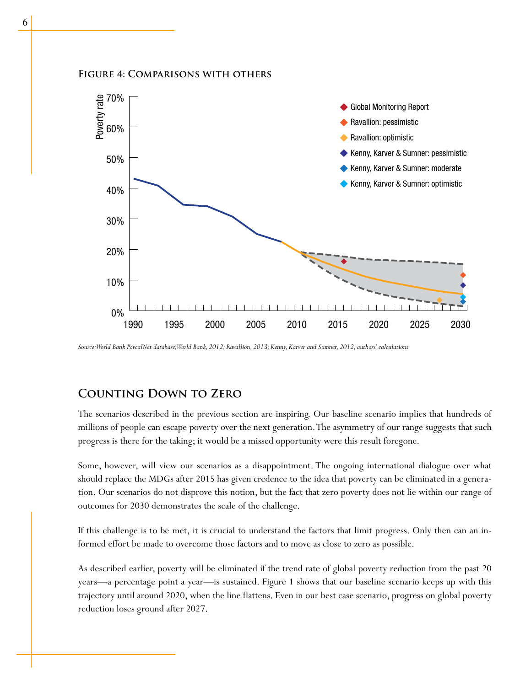# **Figure 4: Comparisons with others**



*Source: World Bank PovcalNet database; World Bank, 2012; Ravallion, 2013; Kenny, Karver and Sumner, 2012; authors' calculations*

# **Counting Down to Zero**

The scenarios described in the previous section are inspiring. Our baseline scenario implies that hundreds of millions of people can escape poverty over the next generation. The asymmetry of our range suggests that such progress is there for the taking; it would be a missed opportunity were this result foregone.

Some, however, will view our scenarios as a disappointment. The ongoing international dialogue over what should replace the MDGs after 2015 has given credence to the idea that poverty can be eliminated in a generation. Our scenarios do not disprove this notion, but the fact that zero poverty does not lie within our range of outcomes for 2030 demonstrates the scale of the challenge.

If this challenge is to be met, it is crucial to understand the factors that limit progress. Only then can an informed effort be made to overcome those factors and to move as close to zero as possible.

As described earlier, poverty will be eliminated if the trend rate of global poverty reduction from the past 20 years—a percentage point a year—is sustained. Figure 1 shows that our baseline scenario keeps up with this trajectory until around 2020, when the line flattens. Even in our best case scenario, progress on global poverty reduction loses ground after 2027.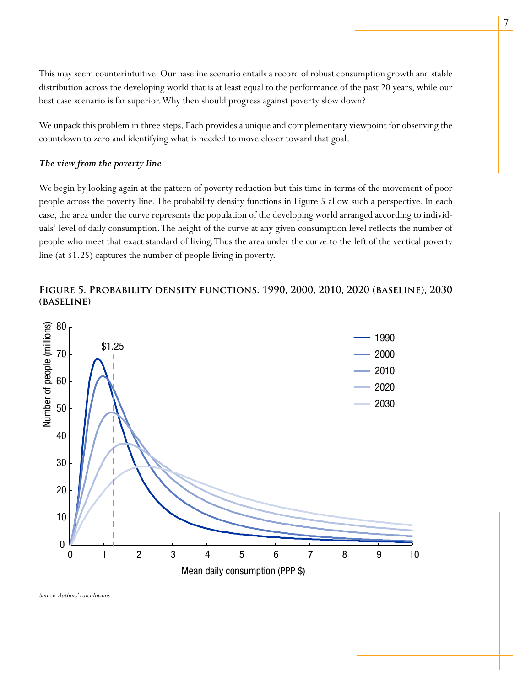This may seem counterintuitive. Our baseline scenario entails a record of robust consumption growth and stable distribution across the developing world that is at least equal to the performance of the past 20 years, while our best case scenario is far superior. Why then should progress against poverty slow down?

We unpack this problem in three steps. Each provides a unique and complementary viewpoint for observing the countdown to zero and identifying what is needed to move closer toward that goal.

# *The view from the poverty line*

We begin by looking again at the pattern of poverty reduction but this time in terms of the movement of poor people across the poverty line. The probability density functions in Figure 5 allow such a perspective. In each case, the area under the curve represents the population of the developing world arranged according to individuals' level of daily consumption. The height of the curve at any given consumption level reflects the number of people who meet that exact standard of living. Thus the area under the curve to the left of the vertical poverty line (at \$1.25) captures the number of people living in poverty.

# **Figure 5: Probability density functions: 1990, 2000, 2010, 2020 (baseline), 2030 (baseline)**



*Source: Authors' calculations*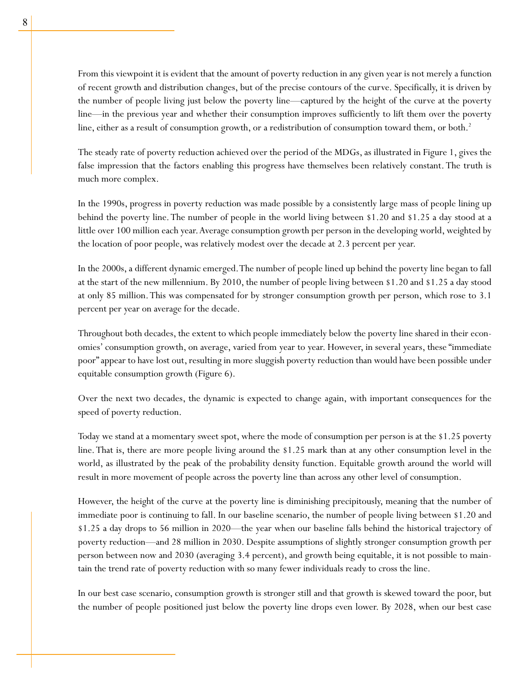From this viewpoint it is evident that the amount of poverty reduction in any given year is not merely a function of recent growth and distribution changes, but of the precise contours of the curve. Specifically, it is driven by the number of people living just below the poverty line—captured by the height of the curve at the poverty line—in the previous year and whether their consumption improves sufficiently to lift them over the poverty line, either as a result of consumption growth, or a redistribution of consumption toward them, or both.<sup>2</sup>

The steady rate of poverty reduction achieved over the period of the MDGs, as illustrated in Figure 1, gives the false impression that the factors enabling this progress have themselves been relatively constant. The truth is much more complex.

In the 1990s, progress in poverty reduction was made possible by a consistently large mass of people lining up behind the poverty line. The number of people in the world living between \$1.20 and \$1.25 a day stood at a little over 100 million each year. Average consumption growth per person in the developing world, weighted by the location of poor people, was relatively modest over the decade at 2.3 percent per year.

In the 2000s, a different dynamic emerged. The number of people lined up behind the poverty line began to fall at the start of the new millennium. By 2010, the number of people living between \$1.20 and \$1.25 a day stood at only 85 million. This was compensated for by stronger consumption growth per person, which rose to 3.1 percent per year on average for the decade.

Throughout both decades, the extent to which people immediately below the poverty line shared in their economies' consumption growth, on average, varied from year to year. However, in several years, these "immediate poor" appear to have lost out, resulting in more sluggish poverty reduction than would have been possible under equitable consumption growth (Figure 6).

Over the next two decades, the dynamic is expected to change again, with important consequences for the speed of poverty reduction.

Today we stand at a momentary sweet spot, where the mode of consumption per person is at the \$1.25 poverty line. That is, there are more people living around the \$1.25 mark than at any other consumption level in the world, as illustrated by the peak of the probability density function. Equitable growth around the world will result in more movement of people across the poverty line than across any other level of consumption.

However, the height of the curve at the poverty line is diminishing precipitously, meaning that the number of immediate poor is continuing to fall. In our baseline scenario, the number of people living between \$1.20 and \$1.25 a day drops to 56 million in 2020—the year when our baseline falls behind the historical trajectory of poverty reduction—and 28 million in 2030. Despite assumptions of slightly stronger consumption growth per person between now and 2030 (averaging 3.4 percent), and growth being equitable, it is not possible to maintain the trend rate of poverty reduction with so many fewer individuals ready to cross the line.

In our best case scenario, consumption growth is stronger still and that growth is skewed toward the poor, but the number of people positioned just below the poverty line drops even lower. By 2028, when our best case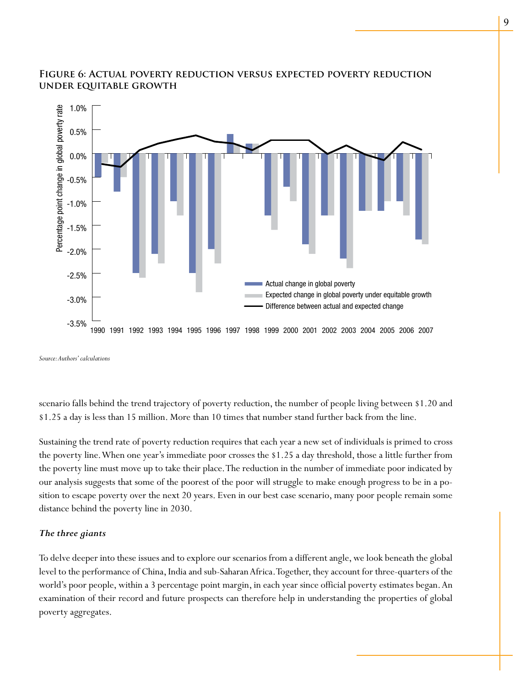

# **Figure 6: Actual poverty reduction versus expected poverty reduction under equitable growth**

*Source: Authors' calculations*

scenario falls behind the trend trajectory of poverty reduction, the number of people living between \$1.20 and \$1.25 a day is less than 15 million. More than 10 times that number stand further back from the line.

Sustaining the trend rate of poverty reduction requires that each year a new set of individuals is primed to cross the poverty line. When one year's immediate poor crosses the \$1.25 a day threshold, those a little further from the poverty line must move up to take their place. The reduction in the number of immediate poor indicated by our analysis suggests that some of the poorest of the poor will struggle to make enough progress to be in a position to escape poverty over the next 20 years. Even in our best case scenario, many poor people remain some distance behind the poverty line in 2030.

## *The three giants*

To delve deeper into these issues and to explore our scenarios from a different angle, we look beneath the global level to the performance of China, India and sub-Saharan Africa. Together, they account for three-quarters of the world's poor people, within a 3 percentage point margin, in each year since official poverty estimates began. An examination of their record and future prospects can therefore help in understanding the properties of global poverty aggregates.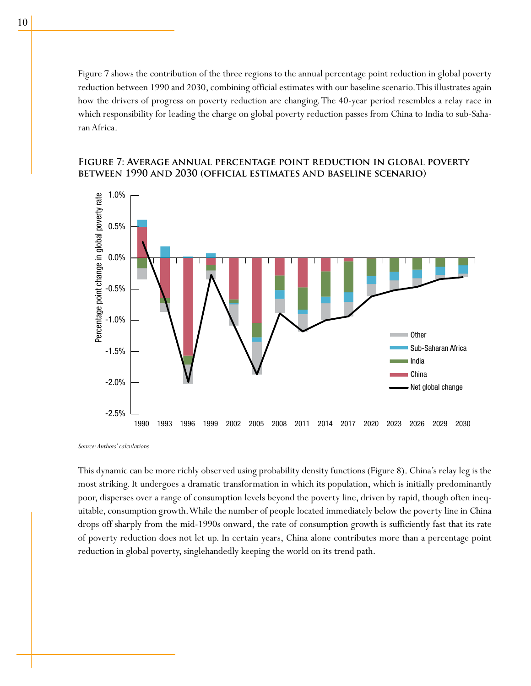Figure 7 shows the contribution of the three regions to the annual percentage point reduction in global poverty reduction between 1990 and 2030, combining official estimates with our baseline scenario. This illustrates again how the drivers of progress on poverty reduction are changing. The 40-year period resembles a relay race in which responsibility for leading the charge on global poverty reduction passes from China to India to sub-Saharan Africa.

# **Figure 7: Average annual percentage point reduction in global poverty between 1990 and 2030 (official estimates and baseline scenario)**



*Source: Authors' calculations*

This dynamic can be more richly observed using probability density functions (Figure 8). China's relay leg is the most striking. It undergoes a dramatic transformation in which its population, which is initially predominantly poor, disperses over a range of consumption levels beyond the poverty line, driven by rapid, though often inequitable, consumption growth. While the number of people located immediately below the poverty line in China drops off sharply from the mid-1990s onward, the rate of consumption growth is sufficiently fast that its rate of poverty reduction does not let up. In certain years, China alone contributes more than a percentage point reduction in global poverty, singlehandedly keeping the world on its trend path.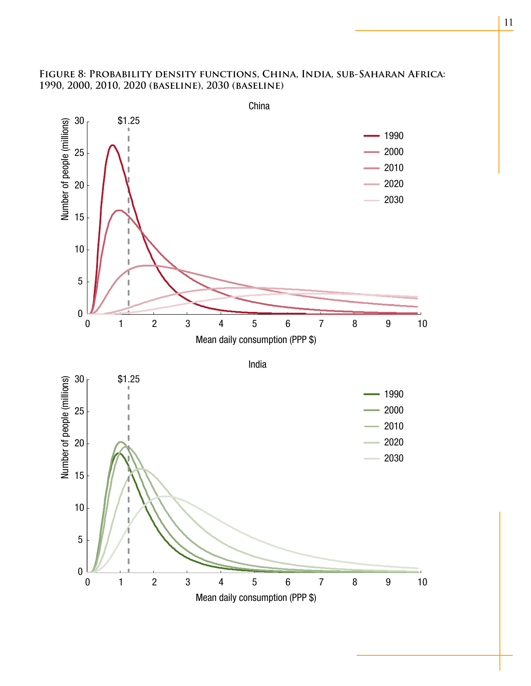# **Figure 8: Probability density functions, China, India, sub-Saharan Africa: 1990, 2000, 2010, 2020 (baseline), 2030 (baseline)**

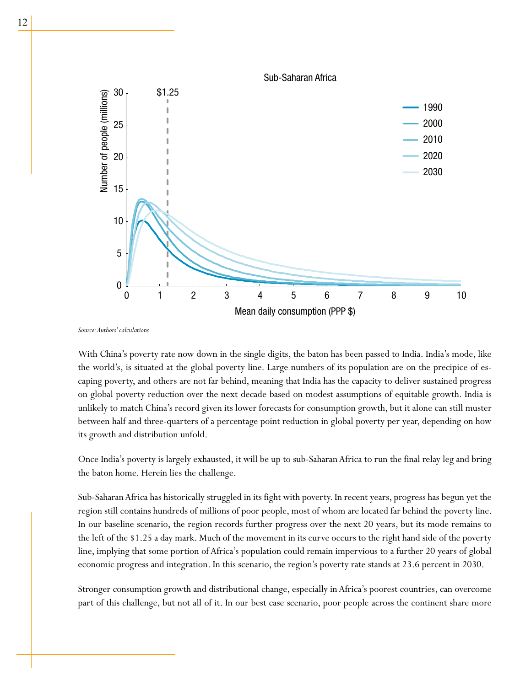

*Source: Authors' calculations*

With China's poverty rate now down in the single digits, the baton has been passed to India. India's mode, like the world's, is situated at the global poverty line. Large numbers of its population are on the precipice of escaping poverty, and others are not far behind, meaning that India has the capacity to deliver sustained progress on global poverty reduction over the next decade based on modest assumptions of equitable growth. India is unlikely to match China's record given its lower forecasts for consumption growth, but it alone can still muster between half and three-quarters of a percentage point reduction in global poverty per year, depending on how its growth and distribution unfold.

Once India's poverty is largely exhausted, it will be up to sub-Saharan Africa to run the final relay leg and bring the baton home. Herein lies the challenge.

Sub-Saharan Africa has historically struggled in its fight with poverty. In recent years, progress has begun yet the region still contains hundreds of millions of poor people, most of whom are located far behind the poverty line. In our baseline scenario, the region records further progress over the next 20 years, but its mode remains to the left of the \$1.25 a day mark. Much of the movement in its curve occurs to the right hand side of the poverty line, implying that some portion of Africa's population could remain impervious to a further 20 years of global economic progress and integration. In this scenario, the region's poverty rate stands at 23.6 percent in 2030.

Stronger consumption growth and distributional change, especially in Africa's poorest countries, can overcome part of this challenge, but not all of it. In our best case scenario, poor people across the continent share more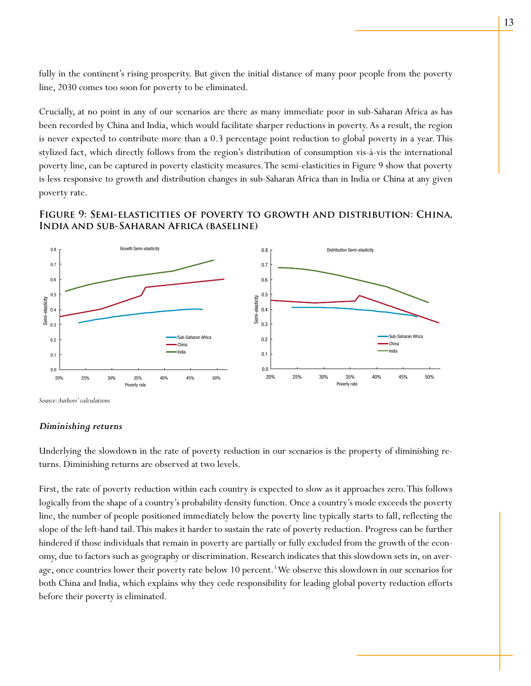fully in the continent's rising prosperity. But given the initial distance of many poor people from the poverty line, 2030 comes too soon for poverty to be eliminated.

Crucially, at no point in any of our scenarios are there as many immediate poor in sub-Saharan Africa as has been recorded by China and India, which would facilitate sharper reductions in poverty. As a result, the region is never expected to contribute more than a 0.3 percentage point reduction to global poverty in a year. This stylized fact, which directly follows from the region's distribution of consumption vis-à-vis the international poverty line, can be captured in poverty elasticity measures. The semi-elasticities in Figure 9 show that poverty is less responsive to growth and distribution changes in sub-Saharan Africa than in India or China at any given poverty rate.

# **Figure 9: Semi-elasticities of poverty to growth and distribution: China, India and sub-Saharan Africa (baseline)**



*Source: Authors' calculations*

## *Diminishing returns*

Underlying the slowdown in the rate of poverty reduction in our scenarios is the property of diminishing returns. Diminishing returns are observed at two levels.

First, the rate of poverty reduction within each country is expected to slow as it approaches zero. This follows logically from the shape of a country's probability density function. Once a country's mode exceeds the poverty line, the number of people positioned immediately below the poverty line typically starts to fall, reflecting the slope of the left-hand tail. This makes it harder to sustain the rate of poverty reduction. Progress can be further hindered if those individuals that remain in poverty are partially or fully excluded from the growth of the economy, due to factors such as geography or discrimination. Research indicates that this slowdown sets in, on average, once countries lower their poverty rate below 10 percent.<sup>3</sup> We observe this slowdown in our scenarios for both China and India, which explains why they cede responsibility for leading global poverty reduction efforts before their poverty is eliminated.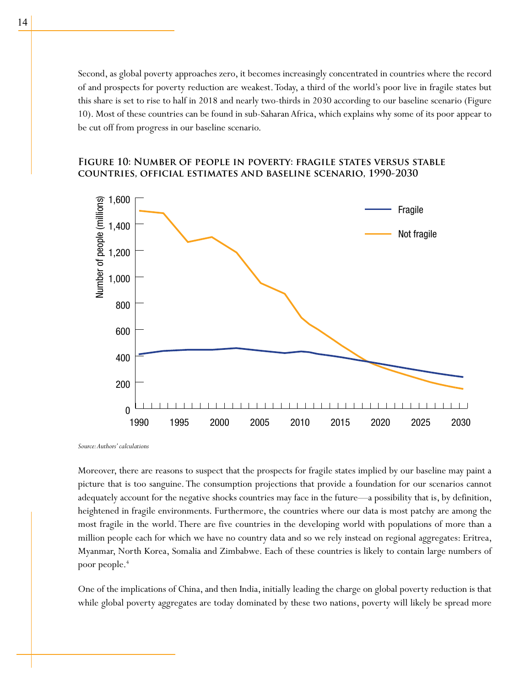Second, as global poverty approaches zero, it becomes increasingly concentrated in countries where the record of and prospects for poverty reduction are weakest. Today, a third of the world's poor live in fragile states but this share is set to rise to half in 2018 and nearly two-thirds in 2030 according to our baseline scenario (Figure 10). Most of these countries can be found in sub-Saharan Africa, which explains why some of its poor appear to be cut off from progress in our baseline scenario.

# **Figure 10: Number of people in poverty: fragile states versus stable countries, official estimates and baseline scenario, 1990-2030**



*Source: Authors' calculations*

Moreover, there are reasons to suspect that the prospects for fragile states implied by our baseline may paint a picture that is too sanguine. The consumption projections that provide a foundation for our scenarios cannot adequately account for the negative shocks countries may face in the future—a possibility that is, by definition, heightened in fragile environments. Furthermore, the countries where our data is most patchy are among the most fragile in the world. There are five countries in the developing world with populations of more than a million people each for which we have no country data and so we rely instead on regional aggregates: Eritrea, Myanmar, North Korea, Somalia and Zimbabwe. Each of these countries is likely to contain large numbers of poor people.<sup>4</sup>

One of the implications of China, and then India, initially leading the charge on global poverty reduction is that while global poverty aggregates are today dominated by these two nations, poverty will likely be spread more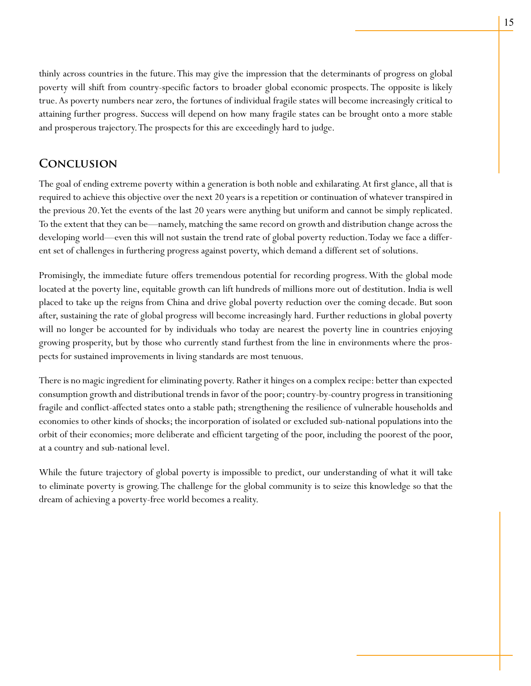thinly across countries in the future. This may give the impression that the determinants of progress on global poverty will shift from country-specific factors to broader global economic prospects. The opposite is likely true. As poverty numbers near zero, the fortunes of individual fragile states will become increasingly critical to attaining further progress. Success will depend on how many fragile states can be brought onto a more stable and prosperous trajectory. The prospects for this are exceedingly hard to judge.

# **Conclusion**

The goal of ending extreme poverty within a generation is both noble and exhilarating. At first glance, all that is required to achieve this objective over the next 20 years is a repetition or continuation of whatever transpired in the previous 20. Yet the events of the last 20 years were anything but uniform and cannot be simply replicated. To the extent that they can be—namely, matching the same record on growth and distribution change across the developing world—even this will not sustain the trend rate of global poverty reduction. Today we face a different set of challenges in furthering progress against poverty, which demand a different set of solutions.

Promisingly, the immediate future offers tremendous potential for recording progress. With the global mode located at the poverty line, equitable growth can lift hundreds of millions more out of destitution. India is well placed to take up the reigns from China and drive global poverty reduction over the coming decade. But soon after, sustaining the rate of global progress will become increasingly hard. Further reductions in global poverty will no longer be accounted for by individuals who today are nearest the poverty line in countries enjoying growing prosperity, but by those who currently stand furthest from the line in environments where the prospects for sustained improvements in living standards are most tenuous.

There is no magic ingredient for eliminating poverty. Rather it hinges on a complex recipe: better than expected consumption growth and distributional trends in favor of the poor; country-by-country progress in transitioning fragile and conflict-affected states onto a stable path; strengthening the resilience of vulnerable households and economies to other kinds of shocks; the incorporation of isolated or excluded sub-national populations into the orbit of their economies; more deliberate and efficient targeting of the poor, including the poorest of the poor, at a country and sub-national level.

While the future trajectory of global poverty is impossible to predict, our understanding of what it will take to eliminate poverty is growing. The challenge for the global community is to seize this knowledge so that the dream of achieving a poverty-free world becomes a reality.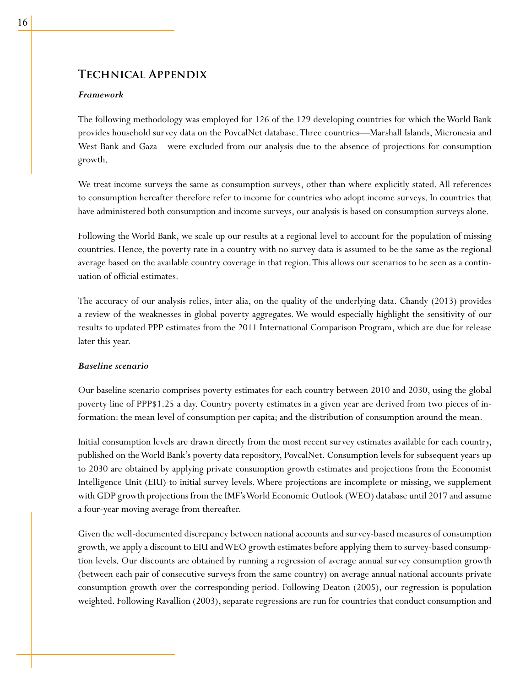# **Technical Appendix**

# *Framework*

The following methodology was employed for 126 of the 129 developing countries for which the World Bank provides household survey data on the PovcalNet database. Three countries—Marshall Islands, Micronesia and West Bank and Gaza—were excluded from our analysis due to the absence of projections for consumption growth.

We treat income surveys the same as consumption surveys, other than where explicitly stated. All references to consumption hereafter therefore refer to income for countries who adopt income surveys. In countries that have administered both consumption and income surveys, our analysis is based on consumption surveys alone.

Following the World Bank, we scale up our results at a regional level to account for the population of missing countries. Hence, the poverty rate in a country with no survey data is assumed to be the same as the regional average based on the available country coverage in that region. This allows our scenarios to be seen as a continuation of official estimates.

The accuracy of our analysis relies, inter alia, on the quality of the underlying data. Chandy (2013) provides a review of the weaknesses in global poverty aggregates. We would especially highlight the sensitivity of our results to updated PPP estimates from the 2011 International Comparison Program, which are due for release later this year.

# *Baseline scenario*

Our baseline scenario comprises poverty estimates for each country between 2010 and 2030, using the global poverty line of PPP\$1.25 a day. Country poverty estimates in a given year are derived from two pieces of information: the mean level of consumption per capita; and the distribution of consumption around the mean.

Initial consumption levels are drawn directly from the most recent survey estimates available for each country, published on the World Bank's poverty data repository, PovcalNet. Consumption levels for subsequent years up to 2030 are obtained by applying private consumption growth estimates and projections from the Economist Intelligence Unit (EIU) to initial survey levels. Where projections are incomplete or missing, we supplement with GDP growth projections from the IMF's World Economic Outlook (WEO) database until 2017 and assume a four-year moving average from thereafter.

Given the well-documented discrepancy between national accounts and survey-based measures of consumption growth, we apply a discount to EIU and WEO growth estimates before applying them to survey-based consumption levels. Our discounts are obtained by running a regression of average annual survey consumption growth (between each pair of consecutive surveys from the same country) on average annual national accounts private consumption growth over the corresponding period. Following Deaton (2005), our regression is population weighted. Following Ravallion (2003), separate regressions are run for countries that conduct consumption and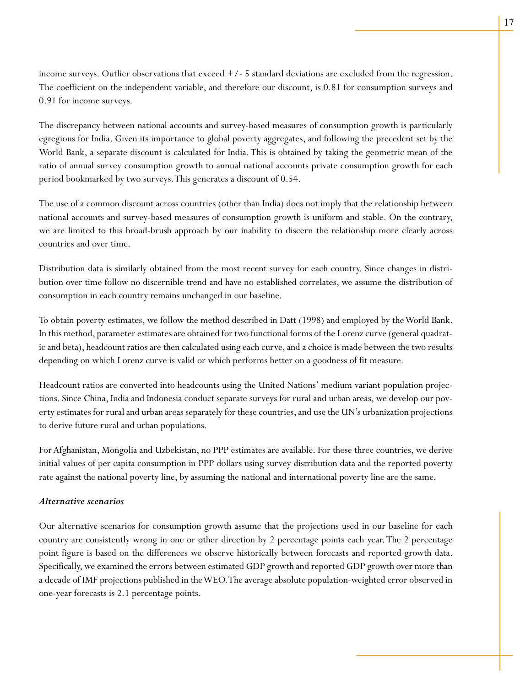income surveys. Outlier observations that  $exceed +/-5$  standard deviations are excluded from the regression. The coefficient on the independent variable, and therefore our discount, is 0.81 for consumption surveys and 0.91 for income surveys.

The discrepancy between national accounts and survey-based measures of consumption growth is particularly egregious for India. Given its importance to global poverty aggregates, and following the precedent set by the World Bank, a separate discount is calculated for India. This is obtained by taking the geometric mean of the ratio of annual survey consumption growth to annual national accounts private consumption growth for each period bookmarked by two surveys. This generates a discount of 0.54.

The use of a common discount across countries (other than India) does not imply that the relationship between national accounts and survey-based measures of consumption growth is uniform and stable. On the contrary, we are limited to this broad-brush approach by our inability to discern the relationship more clearly across countries and over time.

Distribution data is similarly obtained from the most recent survey for each country. Since changes in distribution over time follow no discernible trend and have no established correlates, we assume the distribution of consumption in each country remains unchanged in our baseline.

To obtain poverty estimates, we follow the method described in Datt (1998) and employed by the World Bank. In this method, parameter estimates are obtained for two functional forms of the Lorenz curve (general quadratic and beta), headcount ratios are then calculated using each curve, and a choice is made between the two results depending on which Lorenz curve is valid or which performs better on a goodness of fit measure.

Headcount ratios are converted into headcounts using the United Nations' medium variant population projections. Since China, India and Indonesia conduct separate surveys for rural and urban areas, we develop our poverty estimates for rural and urban areas separately for these countries, and use the UN's urbanization projections to derive future rural and urban populations.

For Afghanistan, Mongolia and Uzbekistan, no PPP estimates are available. For these three countries, we derive initial values of per capita consumption in PPP dollars using survey distribution data and the reported poverty rate against the national poverty line, by assuming the national and international poverty line are the same.

## *Alternative scenarios*

Our alternative scenarios for consumption growth assume that the projections used in our baseline for each country are consistently wrong in one or other direction by 2 percentage points each year. The 2 percentage point figure is based on the differences we observe historically between forecasts and reported growth data. Specifically, we examined the errors between estimated GDP growth and reported GDP growth over more than a decade of IMF projections published in the WEO. The average absolute population-weighted error observed in one-year forecasts is 2.1 percentage points.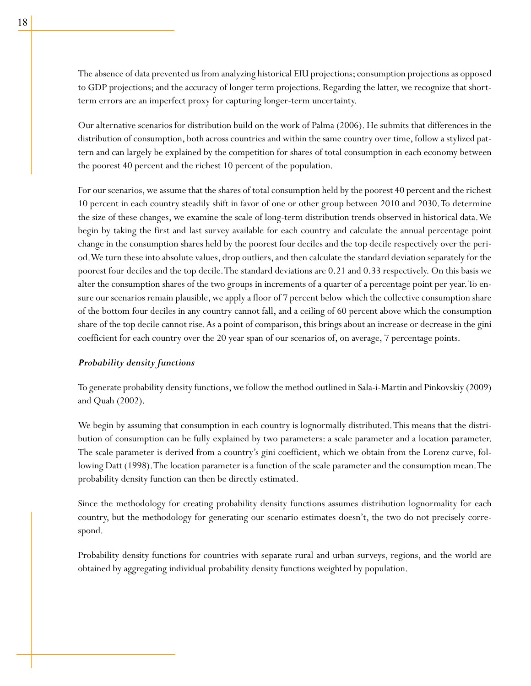The absence of data prevented us from analyzing historical EIU projections; consumption projections as opposed to GDP projections; and the accuracy of longer term projections. Regarding the latter, we recognize that shortterm errors are an imperfect proxy for capturing longer-term uncertainty.

Our alternative scenarios for distribution build on the work of Palma (2006). He submits that differences in the distribution of consumption, both across countries and within the same country over time, follow a stylized pattern and can largely be explained by the competition for shares of total consumption in each economy between the poorest 40 percent and the richest 10 percent of the population.

For our scenarios, we assume that the shares of total consumption held by the poorest 40 percent and the richest 10 percent in each country steadily shift in favor of one or other group between 2010 and 2030. To determine the size of these changes, we examine the scale of long-term distribution trends observed in historical data. We begin by taking the first and last survey available for each country and calculate the annual percentage point change in the consumption shares held by the poorest four deciles and the top decile respectively over the period. We turn these into absolute values, drop outliers, and then calculate the standard deviation separately for the poorest four deciles and the top decile. The standard deviations are 0.21 and 0.33 respectively. On this basis we alter the consumption shares of the two groups in increments of a quarter of a percentage point per year. To ensure our scenarios remain plausible, we apply a floor of 7 percent below which the collective consumption share of the bottom four deciles in any country cannot fall, and a ceiling of 60 percent above which the consumption share of the top decile cannot rise. As a point of comparison, this brings about an increase or decrease in the gini coefficient for each country over the 20 year span of our scenarios of, on average, 7 percentage points.

## *Probability density functions*

To generate probability density functions, we follow the method outlined in Sala-i-Martin and Pinkovskiy (2009) and Quah (2002).

We begin by assuming that consumption in each country is lognormally distributed. This means that the distribution of consumption can be fully explained by two parameters: a scale parameter and a location parameter. The scale parameter is derived from a country's gini coefficient, which we obtain from the Lorenz curve, following Datt (1998). The location parameter is a function of the scale parameter and the consumption mean. The probability density function can then be directly estimated.

Since the methodology for creating probability density functions assumes distribution lognormality for each country, but the methodology for generating our scenario estimates doesn't, the two do not precisely correspond.

Probability density functions for countries with separate rural and urban surveys, regions, and the world are obtained by aggregating individual probability density functions weighted by population.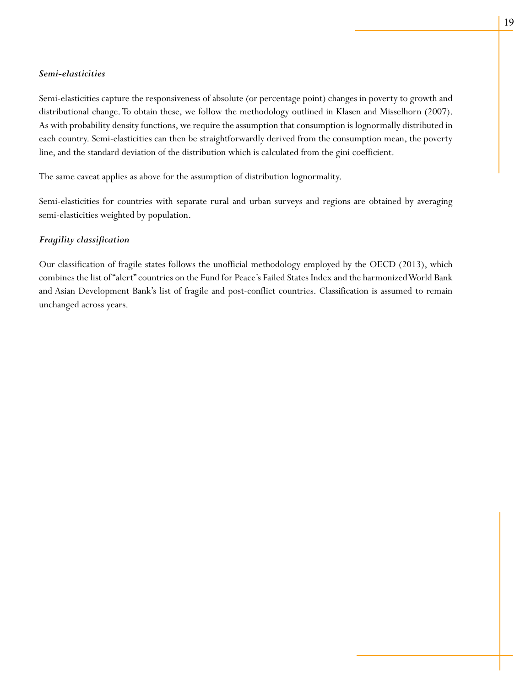# *Semi-elasticities*

Semi-elasticities capture the responsiveness of absolute (or percentage point) changes in poverty to growth and distributional change. To obtain these, we follow the methodology outlined in Klasen and Misselhorn (2007). As with probability density functions, we require the assumption that consumption is lognormally distributed in each country. Semi-elasticities can then be straightforwardly derived from the consumption mean, the poverty line, and the standard deviation of the distribution which is calculated from the gini coefficient.

The same caveat applies as above for the assumption of distribution lognormality.

Semi-elasticities for countries with separate rural and urban surveys and regions are obtained by averaging semi-elasticities weighted by population.

# *Fragility classification*

Our classification of fragile states follows the unofficial methodology employed by the OECD (2013), which combines the list of "alert" countries on the Fund for Peace's Failed States Index and the harmonized World Bank and Asian Development Bank's list of fragile and post-conflict countries. Classification is assumed to remain unchanged across years.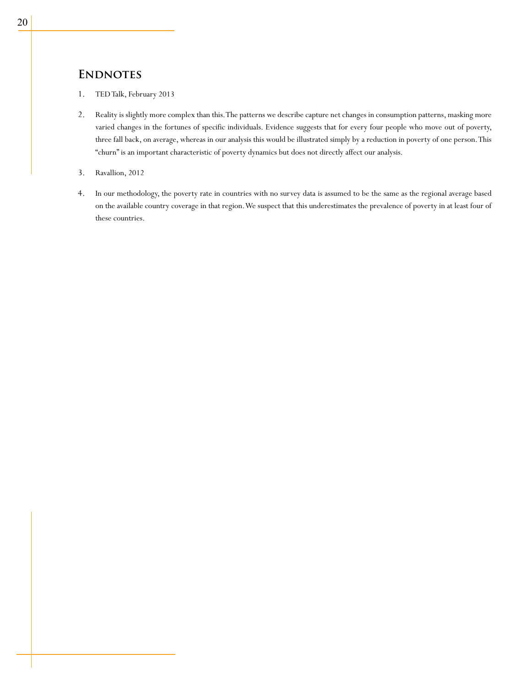# **ENDNOTES**

- 1. TED Talk, February 2013
- 2. Reality is slightly more complex than this. The patterns we describe capture net changes in consumption patterns, masking more varied changes in the fortunes of specific individuals. Evidence suggests that for every four people who move out of poverty, three fall back, on average, whereas in our analysis this would be illustrated simply by a reduction in poverty of one person. This "churn" is an important characteristic of poverty dynamics but does not directly affect our analysis.
- 3. Ravallion, 2012
- 4. In our methodology, the poverty rate in countries with no survey data is assumed to be the same as the regional average based on the available country coverage in that region. We suspect that this underestimates the prevalence of poverty in at least four of these countries.